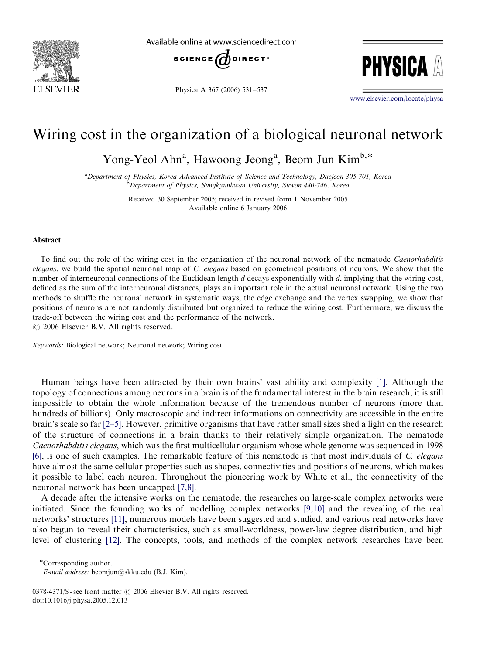

Available online at www.sciencedirect.com



Physica A 367 (2006) 531–537



<www.elsevier.com/locate/physa>

## Wiring cost in the organization of a biological neuronal network

Yong-Yeol Ahn<sup>a</sup>, Hawoong Jeong<sup>a</sup>, Beom Jun Kim<sup>b,\*</sup>

<sup>a</sup> Department of Physics, Korea Advanced Institute of Science and Technology, Daejeon 305-701, Korea **b** Department of Physics, Sungkyunkwan University, Suwon 440-746, Korea

> Received 30 September 2005; received in revised form 1 November 2005 Available online 6 January 2006

## Abstract

To find out the role of the wiring cost in the organization of the neuronal network of the nematode Caenorhabditis elegans, we build the spatial neuronal map of C. elegans based on geometrical positions of neurons. We show that the number of interneuronal connections of the Euclidean length  $d$  decays exponentially with  $d$ , implying that the wiring cost, defined as the sum of the interneuronal distances, plays an important role in the actual neuronal network. Using the two methods to shuffle the neuronal network in systematic ways, the edge exchange and the vertex swapping, we show that positions of neurons are not randomly distributed but organized to reduce the wiring cost. Furthermore, we discuss the trade-off between the wiring cost and the performance of the network.  $\odot$  2006 Elsevier B.V. All rights reserved.

Keywords: Biological network; Neuronal network; Wiring cost

Human beings have been attracted by their own brains' vast ability and complexity [\[1\]](#page-5-0). Although the topology of connections among neurons in a brain is of the fundamental interest in the brain research, it is still impossible to obtain the whole information because of the tremendous number of neurons (more than hundreds of billions). Only macroscopic and indirect informations on connectivity are accessible in the entire brain's scale so far [\[2–5\]](#page-5-0). However, primitive organisms that have rather small sizes shed a light on the research of the structure of connections in a brain thanks to their relatively simple organization. The nematode Caenorhabditis elegans, which was the first multicellular organism whose whole genome was sequenced in 1998 [\[6\]](#page-5-0), is one of such examples. The remarkable feature of this nematode is that most individuals of C. elegans have almost the same cellular properties such as shapes, connectivities and positions of neurons, which makes it possible to label each neuron. Throughout the pioneering work by White et al., the connectivity of the neuronal network has been uncapped [\[7,8\]](#page-5-0).

A decade after the intensive works on the nematode, the researches on large-scale complex networks were initiated. Since the founding works of modelling complex networks [\[9,10\]](#page-5-0) and the revealing of the real networks' structures [\[11\],](#page-5-0) numerous models have been suggested and studied, and various real networks have also begun to reveal their characteristics, such as small-worldness, power-law degree distribution, and high level of clustering [\[12\].](#page-5-0) The concepts, tools, and methods of the complex network researches have been

Corresponding author.

E-mail address: beomjun@skku.edu (B.J. Kim).

<sup>0378-4371/\$ -</sup> see front matter  $\odot$  2006 Elsevier B.V. All rights reserved. doi:10.1016/j.physa.2005.12.013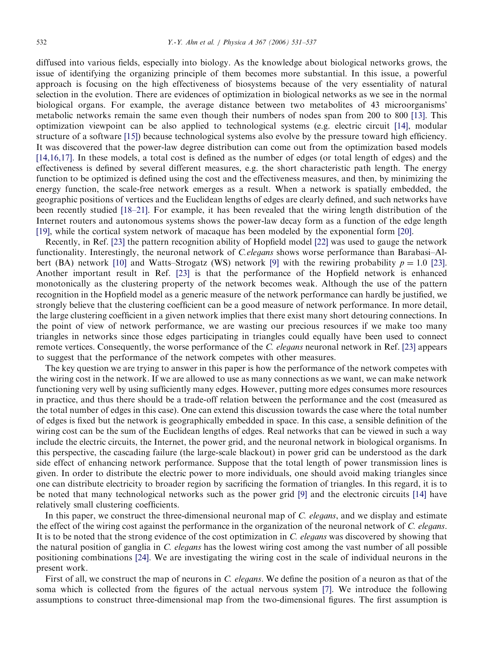diffused into various fields, especially into biology. As the knowledge about biological networks grows, the issue of identifying the organizing principle of them becomes more substantial. In this issue, a powerful approach is focusing on the high effectiveness of biosystems because of the very essentiality of natural selection in the evolution. There are evidences of optimization in biological networks as we see in the normal biological organs. For example, the average distance between two metabolites of 43 microorganisms' metabolic networks remain the same even though their numbers of nodes span from 200 to 800 [\[13\]](#page-5-0). This optimization viewpoint can be also applied to technological systems (e.g. electric circuit [\[14\]](#page-5-0), modular structure of a software [\[15\]](#page-5-0)) because technological systems also evolve by the pressure toward high efficiency. It was discovered that the power-law degree distribution can come out from the optimization based models [\[14,16,17\].](#page-5-0) In these models, a total cost is defined as the number of edges (or total length of edges) and the effectiveness is defined by several different measures, e.g. the short characteristic path length. The energy function to be optimized is defined using the cost and the effectiveness measures, and then, by minimizing the energy function, the scale-free network emerges as a result. When a network is spatially embedded, the geographic positions of vertices and the Euclidean lengths of edges are clearly defined, and such networks have been recently studied [\[18–21\].](#page-5-0) For example, it has been revealed that the wiring length distribution of the Internet routers and autonomous systems shows the power-law decay form as a function of the edge length [\[19\],](#page-5-0) while the cortical system network of macaque has been modeled by the exponential form [\[20\].](#page-5-0)

Recently, in Ref. [\[23\]](#page-6-0) the pattern recognition ability of Hopfield model [\[22\]](#page-6-0) was used to gauge the network functionality. Interestingly, the neuronal network of *C.elegans* shows worse performance than Barabasi–Al-bert (BA) network [\[10\]](#page-5-0) and Watts–Strogatz (WS) network [\[9\]](#page-5-0) with the rewiring probability  $p = 1.0$  [\[23\].](#page-6-0) Another important result in Ref. [\[23\]](#page-6-0) is that the performance of the Hopfield network is enhanced monotonically as the clustering property of the network becomes weak. Although the use of the pattern recognition in the Hopfield model as a generic measure of the network performance can hardly be justified, we strongly believe that the clustering coefficient can be a good measure of network performance. In more detail, the large clustering coefficient in a given network implies that there exist many short detouring connections. In the point of view of network performance, we are wasting our precious resources if we make too many triangles in networks since those edges participating in triangles could equally have been used to connect remote vertices. Consequently, the worse performance of the C. elegans neuronal network in Ref. [\[23\]](#page-6-0) appears to suggest that the performance of the network competes with other measures.

The key question we are trying to answer in this paper is how the performance of the network competes with the wiring cost in the network. If we are allowed to use as many connections as we want, we can make network functioning very well by using sufficiently many edges. However, putting more edges consumes more resources in practice, and thus there should be a trade-off relation between the performance and the cost (measured as the total number of edges in this case). One can extend this discussion towards the case where the total number of edges is fixed but the network is geographically embedded in space. In this case, a sensible definition of the wiring cost can be the sum of the Euclidean lengths of edges. Real networks that can be viewed in such a way include the electric circuits, the Internet, the power grid, and the neuronal network in biological organisms. In this perspective, the cascading failure (the large-scale blackout) in power grid can be understood as the dark side effect of enhancing network performance. Suppose that the total length of power transmission lines is given. In order to distribute the electric power to more individuals, one should avoid making triangles since one can distribute electricity to broader region by sacrificing the formation of triangles. In this regard, it is to be noted that many technological networks such as the power grid [\[9\]](#page-5-0) and the electronic circuits [\[14\]](#page-5-0) have relatively small clustering coefficients.

In this paper, we construct the three-dimensional neuronal map of C. *elegans*, and we display and estimate the effect of the wiring cost against the performance in the organization of the neuronal network of C. elegans. It is to be noted that the strong evidence of the cost optimization in C. elegans was discovered by showing that the natural position of ganglia in C. elegans has the lowest wiring cost among the vast number of all possible positioning combinations [\[24\].](#page-6-0) We are investigating the wiring cost in the scale of individual neurons in the present work.

First of all, we construct the map of neurons in C. *elegans*. We define the position of a neuron as that of the soma which is collected from the figures of the actual nervous system [\[7\]](#page-5-0). We introduce the following assumptions to construct three-dimensional map from the two-dimensional figures. The first assumption is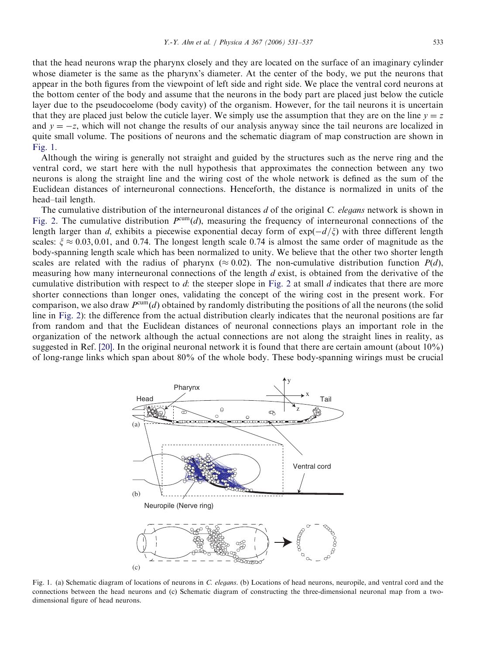that the head neurons wrap the pharynx closely and they are located on the surface of an imaginary cylinder whose diameter is the same as the pharynx's diameter. At the center of the body, we put the neurons that appear in the both figures from the viewpoint of left side and right side. We place the ventral cord neurons at the bottom center of the body and assume that the neurons in the body part are placed just below the cuticle layer due to the pseudocoelome (body cavity) of the organism. However, for the tail neurons it is uncertain that they are placed just below the cuticle layer. We simply use the assumption that they are on the line  $y = z$ and  $y = -z$ , which will not change the results of our analysis anyway since the tail neurons are localized in quite small volume. The positions of neurons and the schematic diagram of map construction are shown in Fig. 1.

Although the wiring is generally not straight and guided by the structures such as the nerve ring and the ventral cord, we start here with the null hypothesis that approximates the connection between any two neurons is along the straight line and the wiring cost of the whole network is defined as the sum of the Euclidean distances of interneuronal connections. Henceforth, the distance is normalized in units of the head–tail length.

The cumulative distribution of the interneuronal distances  $d$  of the original C. elegans network is shown in [Fig. 2](#page-3-0). The cumulative distribution  $P^{cum}(d)$ , measuring the frequency of interneuronal connections of the length larger than d, exhibits a piecewise exponential decay form of  $exp(-d/\xi)$  with three different length scales:  $\xi \approx 0.03, 0.01$ , and 0.74. The longest length scale 0.74 is almost the same order of magnitude as the body-spanning length scale which has been normalized to unity. We believe that the other two shorter length scales are related with the radius of pharynx ( $\approx 0.02$ ). The non-cumulative distribution function  $P(d)$ , measuring how many interneuronal connections of the length  $d$  exist, is obtained from the derivative of the cumulative distribution with respect to d: the steeper slope in [Fig. 2](#page-3-0) at small d indicates that there are more shorter connections than longer ones, validating the concept of the wiring cost in the present work. For comparison, we also draw  $P^{cum}(d)$  obtained by randomly distributing the positions of all the neurons (the solid line in [Fig. 2\)](#page-3-0): the difference from the actual distribution clearly indicates that the neuronal positions are far from random and that the Euclidean distances of neuronal connections plays an important role in the organization of the network although the actual connections are not along the straight lines in reality, as suggested in Ref. [\[20\]](#page-5-0). In the original neuronal network it is found that there are certain amount (about 10%) of long-range links which span about 80% of the whole body. These body-spanning wirings must be crucial



Fig. 1. (a) Schematic diagram of locations of neurons in C. elegans. (b) Locations of head neurons, neuropile, and ventral cord and the connections between the head neurons and (c) Schematic diagram of constructing the three-dimensional neuronal map from a twodimensional figure of head neurons.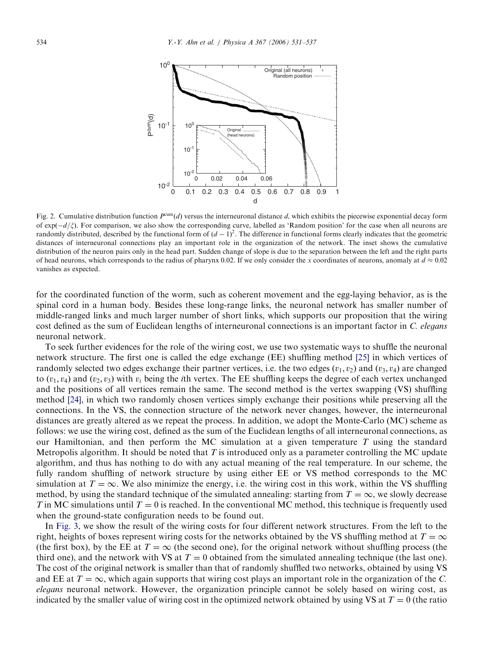<span id="page-3-0"></span>

Fig. 2. Cumulative distribution function  $P^{cum}(d)$  versus the interneuronal distance d, which exhibits the piecewise exponential decay form of  $exp(-d/\zeta)$ . For comparison, we also show the corresponding curve, labelled as 'Random position' for the case when all neurons are randomly distributed, described by the functional form of  $(d-1)^2$ . The difference in functional forms clearly indicates that the geometric distances of interneuronal connections play an important role in the organization of the network. The inset shows the cumulative distribution of the neuron pairs only in the head part. Sudden change of slope is due to the separation between the left and the right parts of head neurons, which corresponds to the radius of pharynx 0.02. If we only consider the x coordinates of neurons, anomaly at  $d \approx 0.02$ vanishes as expected.

for the coordinated function of the worm, such as coherent movement and the egg-laying behavior, as is the spinal cord in a human body. Besides these long-range links, the neuronal network has smaller number of middle-ranged links and much larger number of short links, which supports our proposition that the wiring cost defined as the sum of Euclidean lengths of interneuronal connections is an important factor in C. elegans neuronal network.

To seek further evidences for the role of the wiring cost, we use two systematic ways to shuffle the neuronal network structure. The first one is called the edge exchange (EE) shuffling method [\[25\]](#page-6-0) in which vertices of randomly selected two edges exchange their partner vertices, i.e. the two edges  $(v_1, v_2)$  and  $(v_3, v_4)$  are changed to  $(v_1, v_4)$  and  $(v_2, v_3)$  with  $v_i$  being the *i*th vertex. The EE shuffling keeps the degree of each vertex unchanged and the positions of all vertices remain the same. The second method is the vertex swapping (VS) shuffling method [\[24\]](#page-6-0), in which two randomly chosen vertices simply exchange their positions while preserving all the connections. In the VS, the connection structure of the network never changes, however, the interneuronal distances are greatly altered as we repeat the process. In addition, we adopt the Monte-Carlo (MC) scheme as follows: we use the wiring cost, defined as the sum of the Euclidean lengths of all interneuronal connections, as our Hamiltonian, and then perform the MC simulation at a given temperature  $T$  using the standard Metropolis algorithm. It should be noted that  $T$  is introduced only as a parameter controlling the MC update algorithm, and thus has nothing to do with any actual meaning of the real temperature. In our scheme, the fully random shuffling of network structure by using either EE or VS method corresponds to the MC simulation at  $T = \infty$ . We also minimize the energy, i.e. the wiring cost in this work, within the VS shuffling method, by using the standard technique of the simulated annealing: starting from  $T = \infty$ , we slowly decrease T in MC simulations until  $T = 0$  is reached. In the conventional MC method, this technique is frequently used when the ground-state configuration needs to be found out.

In [Fig. 3,](#page-4-0) we show the result of the wiring costs for four different network structures. From the left to the right, heights of boxes represent wiring costs for the networks obtained by the VS shuffling method at  $T = \infty$ (the first box), by the EE at  $T = \infty$  (the second one), for the original network without shuffling process (the third one), and the network with VS at  $T = 0$  obtained from the simulated annealing technique (the last one). The cost of the original network is smaller than that of randomly shuffled two networks, obtained by using VS and EE at  $T = \infty$ , which again supports that wiring cost plays an important role in the organization of the C. elegans neuronal network. However, the organization principle cannot be solely based on wiring cost, as indicated by the smaller value of wiring cost in the optimized network obtained by using VS at  $T = 0$  (the ratio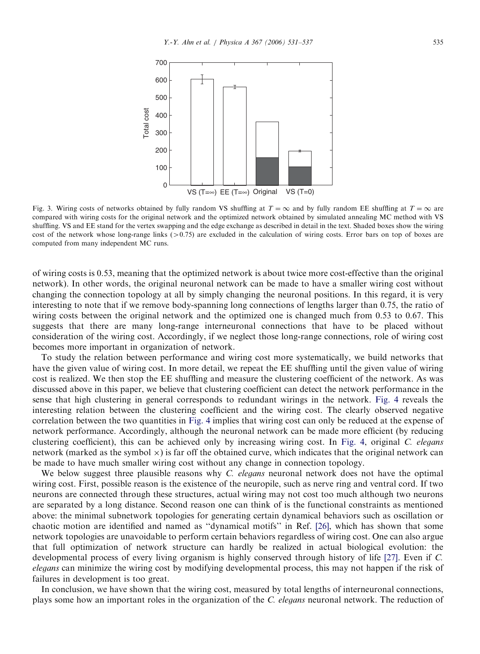<span id="page-4-0"></span>

Fig. 3. Wiring costs of networks obtained by fully random VS shuffling at  $T = \infty$  and by fully random EE shuffling at  $T = \infty$  are compared with wiring costs for the original network and the optimized network obtained by simulated annealing MC method with VS shuffling. VS and EE stand for the vertex swapping and the edge exchange as described in detail in the text. Shaded boxes show the wiring cost of the network whose long-range links ( $>0.75$ ) are excluded in the calculation of wiring costs. Error bars on top of boxes are computed from many independent MC runs.

of wiring costs is 0.53, meaning that the optimized network is about twice more cost-effective than the original network). In other words, the original neuronal network can be made to have a smaller wiring cost without changing the connection topology at all by simply changing the neuronal positions. In this regard, it is very interesting to note that if we remove body-spanning long connections of lengths larger than 0.75, the ratio of wiring costs between the original network and the optimized one is changed much from 0.53 to 0.67. This suggests that there are many long-range interneuronal connections that have to be placed without consideration of the wiring cost. Accordingly, if we neglect those long-range connections, role of wiring cost becomes more important in organization of network.

To study the relation between performance and wiring cost more systematically, we build networks that have the given value of wiring cost. In more detail, we repeat the EE shuffling until the given value of wiring cost is realized. We then stop the EE shuffling and measure the clustering coefficient of the network. As was discussed above in this paper, we believe that clustering coefficient can detect the network performance in the sense that high clustering in general corresponds to redundant wirings in the network. [Fig. 4](#page-5-0) reveals the interesting relation between the clustering coefficient and the wiring cost. The clearly observed negative correlation between the two quantities in [Fig. 4](#page-5-0) implies that wiring cost can only be reduced at the expense of network performance. Accordingly, although the neuronal network can be made more efficient (by reducing clustering coefficient), this can be achieved only by increasing wiring cost. In [Fig. 4,](#page-5-0) original C. elegans network (marked as the symbol  $\times$ ) is far off the obtained curve, which indicates that the original network can be made to have much smaller wiring cost without any change in connection topology.

We below suggest three plausible reasons why C. elegans neuronal network does not have the optimal wiring cost. First, possible reason is the existence of the neuropile, such as nerve ring and ventral cord. If two neurons are connected through these structures, actual wiring may not cost too much although two neurons are separated by a long distance. Second reason one can think of is the functional constraints as mentioned above: the minimal subnetwork topologies for generating certain dynamical behaviors such as oscillation or chaotic motion are identified and named as ''dynamical motifs'' in Ref. [\[26\]](#page-6-0), which has shown that some network topologies are unavoidable to perform certain behaviors regardless of wiring cost. One can also argue that full optimization of network structure can hardly be realized in actual biological evolution: the developmental process of every living organism is highly conserved through history of life [\[27\]](#page-6-0). Even if C. elegans can minimize the wiring cost by modifying developmental process, this may not happen if the risk of failures in development is too great.

In conclusion, we have shown that the wiring cost, measured by total lengths of interneuronal connections, plays some how an important roles in the organization of the C. elegans neuronal network. The reduction of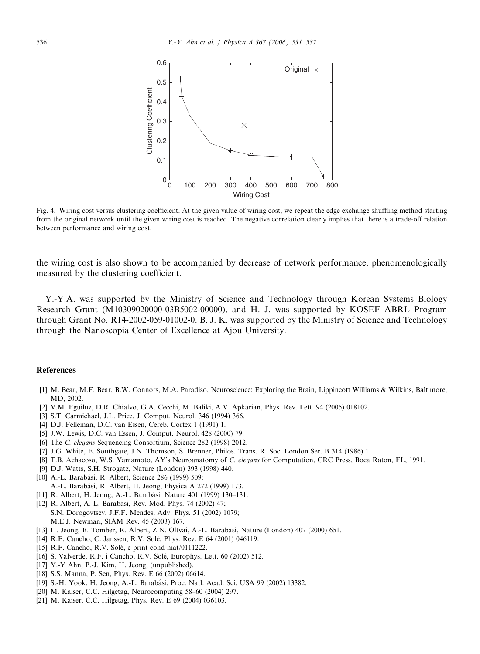<span id="page-5-0"></span>

Fig. 4. Wiring cost versus clustering coefficient. At the given value of wiring cost, we repeat the edge exchange shuffling method starting from the original network until the given wiring cost is reached. The negative correlation clearly implies that there is a trade-off relation between performance and wiring cost.

the wiring cost is also shown to be accompanied by decrease of network performance, phenomenologically measured by the clustering coefficient.

Y.-Y.A. was supported by the Ministry of Science and Technology through Korean Systems Biology Research Grant (M10309020000-03B5002-00000), and H. J. was supported by KOSEF ABRL Program through Grant No. R14-2002-059-01002-0. B. J. K. was supported by the Ministry of Science and Technology through the Nanoscopia Center of Excellence at Ajou University.

## References

- [1] M. Bear, M.F. Bear, B.W. Connors, M.A. Paradiso, Neuroscience: Exploring the Brain, Lippincott Williams & Wilkins, Baltimore, MD, 2002.
- [2] V.M. Eguíluz, D.R. Chialvo, G.A. Cecchi, M. Baliki, A.V. Apkarian, Phys. Rev. Lett. 94 (2005) 018102.
- [3] S.T. Carmichael, J.L. Price, J. Comput. Neurol. 346 (1994) 366.
- [4] D.J. Felleman, D.C. van Essen, Cereb. Cortex 1 (1991) 1.
- [5] J.W. Lewis, D.C. van Essen, J. Comput. Neurol. 428 (2000) 79.
- [6] The C. elegans Sequencing Consortium, Science 282 (1998) 2012.
- [7] J.G. White, E. Southgate, J.N. Thomson, S. Brenner, Philos. Trans. R. Soc. London Ser. B 314 (1986) 1.
- [8] T.B. Achacoso, W.S. Yamamoto, AY's Neuroanatomy of C. elegans for Computation, CRC Press, Boca Raton, FL, 1991.
- [9] D.J. Watts, S.H. Strogatz, Nature (London) 393 (1998) 440.
- [10] A.-L. Barabási, R. Albert, Science 286 (1999) 509; A.-L. Barabási, R. Albert, H. Jeong, Physica A 272 (1999) 173.
- [11] R. Albert, H. Jeong, A.-L. Barabási, Nature 401 (1999) 130–131.
- [12] R. Albert, A.-L. Barabási, Rev. Mod. Phys. 74 (2002) 47; S.N. Dorogovtsev, J.F.F. Mendes, Adv. Phys. 51 (2002) 1079; M.E.J. Newman, SIAM Rev. 45 (2003) 167.
- [13] H. Jeong, B. Tomber, R. Albert, Z.N. Oltvai, A.-L. Barabasi, Nature (London) 407 (2000) 651.
- [14] R.F. Cancho, C. Janssen, R.V. Solé, Phys. Rev. E 64 (2001) 046119.
- [15] R.F. Cancho, R.V. Solé, e-print cond-mat/0111222.
- [16] S. Valverde, R.F. i Cancho, R.V. Solé, Europhys. Lett. 60 (2002) 512.
- [17] Y.-Y Ahn, P.-J. Kim, H. Jeong, (unpublished).
- [18] S.S. Manna, P. Sen, Phys. Rev. E 66 (2002) 06614.
- [19] S.-H. Yook, H. Jeong, A.-L. Barabási, Proc. Natl. Acad. Sci. USA 99 (2002) 13382.
- [20] M. Kaiser, C.C. Hilgetag, Neurocomputing 58–60 (2004) 297.
- [21] M. Kaiser, C.C. Hilgetag, Phys. Rev. E 69 (2004) 036103.